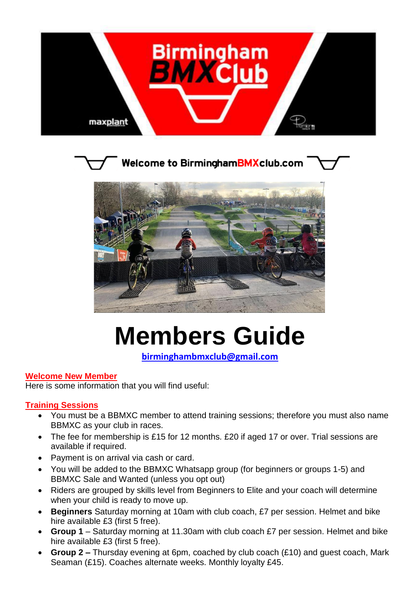



**Welcome to BirminghamBMXclub.com** 



# **Members Guide**

**[birminghambmxclub@gmail.com](mailto:birminghambmxclub@gmail.com)**

#### **Welcome New Member**

Here is some information that you will find useful:

#### **Training Sessions**

- You must be a BBMXC member to attend training sessions; therefore you must also name BBMXC as your club in races.
- The fee for membership is £15 for 12 months. £20 if aged 17 or over. Trial sessions are available if required.
- Payment is on arrival via cash or card.
- You will be added to the BBMXC Whatsapp group (for beginners or groups 1-5) and BBMXC Sale and Wanted (unless you opt out)
- Riders are grouped by skills level from Beginners to Elite and your coach will determine when your child is ready to move up.
- **Beginners** Saturday morning at 10am with club coach, £7 per session. Helmet and bike hire available £3 (first 5 free).
- **Group 1** Saturday morning at 11.30am with club coach £7 per session. Helmet and bike hire available £3 (first 5 free).
- **Group 2 –** Thursday evening at 6pm, coached by club coach (£10) and guest coach, Mark Seaman (£15). Coaches alternate weeks. Monthly loyalty £45.